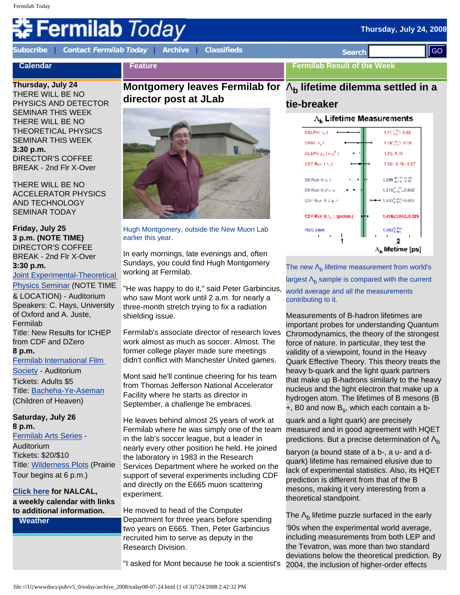# **Fermilab** *Today*

**Calendar**

**[Subscribe](http://www.fnal.gov/pub/today/subscription.html)** | **Contact [Fermilab Today](mailto:today@fnal.gov)** | **[Archive](http://www.fnal.gov/pub/today/archive.html)** | **[Classifieds](http://www.fnal.gov/pub/today/classifieds.html) Search** 

**Feature**

**Thursday, July 24** THERE WILL BE NO PHYSICS AND DETECTOR SEMINAR THIS WEEK THERE WILL BE NO THEORETICAL PHYSICS SEMINAR THIS WEEK **3:30 p.m.**  DIRECTOR'S COFFEE BREAK - 2nd Flr X-Over

THERE WILL BE NO ACCELERATOR PHYSICS AND TECHNOLOGY SEMINAR TODAY

#### **Friday, July 25 3 p.m. (NOTE TIME)** DIRECTOR'S COFFEE BREAK - 2nd Flr X-Over **3:30 p.m.**

[Joint Experimental-Theoretical](http://theory.fnal.gov/jetp/) 

[Physics Seminar](http://theory.fnal.gov/jetp/) (NOTE TIME & LOCATION) - Auditorium Speakers: C. Hays, University of Oxford and A. Juste, Fermilab Title: New Results for ICHEP from CDF and DZero **8 p.m.** [Fermilab International Film](http://www.fnal.gov/culture/NewArts/Film/films_0809/film_society.shtml)  [Society](http://www.fnal.gov/culture/NewArts/Film/films_0809/film_society.shtml) - Auditorium

Tickets: Adults \$5 Title: [Bacheha-Ye-Aseman](http://www.fnal.gov/culture/NewArts/Film/films_0809/film_descriptions_0809.html#childrenofheaven) (Children of Heaven)

#### **Saturday, July 26 8 p.m.**

[Fermilab Arts Series](http://www.fnal.gov/culture/NewArts/Arts/07-08/arts_series.shtml) - Auditorium Tickets: \$20/\$10 Title: [Wilderness Plots](http://www.fnal.gov/culture/NewArts/Arts/07-08/wilderness.shtml) (Prairie Tour begins at 6 p.m.)

#### **[Click here](http://www.fnal.gov/directorate/nalcal/nalcal07_21_08.html) for NALCAL, a weekly calendar with links to additional information.**

**Weather**

# **Montgomery leaves Fermilab for**  Λ**b lifetime dilemma settled in a director post at JLab**



Hugh Montgomery, outside the New Muon Lab earlier this year.

In early mornings, late evenings and, often Sundays, you could find Hugh Montgomery working at Fermilab.

"He was happy to do it," said Peter Garbincius, who saw Mont work until 2 a.m. for nearly a three-month stretch trying to fix a radiation shielding issue.

Fermilab's associate director of research loves work almost as much as soccer. Almost. The former college player made sure meetings didn't conflict with Manchester United games.

Mont said he'll continue cheering for his team from Thomas Jefferson National Accelerator Facility where he starts as director in September, a challenge he embraces.

He leaves behind almost 25 years of work at Fermilab where he was simply one of the team in the lab's soccer league, but a leader in nearly every other position he held. He joined the laboratory in 1983 in the Research Services Department where he worked on the support of several experiments including CDF and directly on the E665 muon scattering experiment.

He moved to head of the Computer Department for three years before spending two years on E665. Then, Peter Garbincius recruited him to serve as deputy in the Research Division.

"I asked for Mont because he took a scientist's

**Fermilab Result of the Week**

### **tie-breaker**



The new  $\Lambda_{b}$  lifetime measurement from world's largest  $\Lambda_b$  sample is compared with the current world average and all the measurements contributing to it.

Measurements of B-hadron lifetimes are important probes for understanding Quantum Chromodynamics, the theory of the strongest force of nature. In particular, they test the validity of a viewpoint, found in the Heavy Quark Effective Theory. This theory treats the heavy b-quark and the light quark partners that make up B-hadrons similarly to the heavy nucleus and the light electron that make up a hydrogen atom. The lifetimes of B mesons (B  $+$ , B0 and now  $B_s$ , which each contain a b-

quark and a light quark) are precisely measured and in good agreement with HQET predictions. But a precise determination of  $\Lambda_{\rm b}$ 

baryon (a bound state of a b-, a u- and a dquark) lifetime has remained elusive due to lack of experimental statistics. Also, its HQET prediction is different from that of the B mesons, making it very interesting from a theoretical standpoint.

The  $\Lambda_{\rm b}$  lifetime puzzle surfaced in the early

'90s when the experimental world average, including measurements from both LEP and the Tevatron, was more than two standard deviations below the theoretical prediction. By 2004, the inclusion of higher-order effects

**Thursday, July 24, 2008**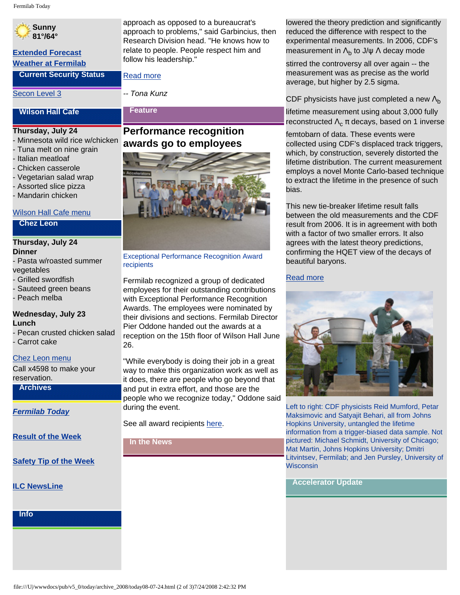## **Sunny 81°/64°**

# **[Extended Forecast](http://forecast.weather.gov/MapClick.php?CityName=Batavia&state=IL&site=LOT)**

**[Weather at Fermilab](http://www-esh.fnal.gov/pls/default/weather.html)**

**Current Security Status**

[Secon Level 3](http://www.fnal.gov/pub/about/public_affairs/currentstatus.html)

approach as opposed to a bureaucrat's approach to problems," said Garbincius, then Research Division head. "He knows how to relate to people. People respect him and follow his leadership."

[Read more](http://www.fnal.gov/pub/today/HughMontgomeryfarewell.html)

**Feature**

*-- Tona Kunz*

## **Thursday, July 24**

**Wilson Hall Cafe**

- Minnesota wild rice w/chicken
- Tuna melt on nine grain
- Italian meatloaf
- Chicken casserole
- Vegetarian salad wrap
- Assorted slice pizza
- Mandarin chicken

#### [Wilson Hall Cafe menu](http://bss.fnal.gov/cafe/index.html)

#### **Chez Leon**

#### **Thursday, July 24 Dinner**

- Pasta w/roasted summer vegetables
- Grilled swordfish
- Sauteed green beans
- Peach melba

#### **Wednesday, July 23 Lunch**

- Pecan crusted chicken salad
- Carrot cake

#### [Chez Leon menu](http://bss.fnal.gov/chezleon/index.html)

Call x4598 to make your reservation.

#### **Archives**

*[Fermilab Today](http://www.fnal.gov/pub/today/archive.html)*

**[Result of the Week](http://www.fnal.gov/pub/today/resultoftheweek/index.html)**

**[Safety Tip of the Week](http://www.fnal.gov/pub/today/safety/)**

**[ILC NewsLine](http://www.linearcollider.org/newsline/archive/index.html)**

**Info**

# **Performance recognition awards go to employees**



Fermilab recognized a group of dedicated employees for their outstanding contributions with Exceptional Performance Recognition Awards. The employees were nominated by their divisions and sections. Fermilab Director Pier Oddone handed out the awards at a reception on the 15th floor of Wilson Hall June 26.

"While everybody is doing their job in a great way to make this organization work as well as it does, there are people who go beyond that and put in extra effort, and those are the people who we recognize today," Oddone said during the event.

See all award recipients [here.](http://www.fnal.gov/pub/today/archive_2008/EPRA/)

#### **In the News**

lowered the theory prediction and significantly reduced the difference with respect to the experimental measurements. In 2006, CDF's measurement in  $\Lambda_{b}$  to J/ $\psi$   $\Lambda$  decay mode

stirred the controversy all over again -- the measurement was as precise as the world average, but higher by 2.5 sigma.

CDF physicists have just completed a new  $\Lambda_{\rm b}$ lifetime measurement using about 3,000 fully reconstructed  $\Lambda_c \pi$  decays, based on 1 inverse

femtobarn of data. These events were collected using CDF's displaced track triggers, which, by construction, severely distorted the lifetime distribution. The current measurement employs a novel Monte Carlo-based technique to extract the lifetime in the presence of such bias.

This new tie-breaker lifetime result falls between the old measurements and the CDF result from 2006. It is in agreement with both with a factor of two smaller errors. It also agrees with the latest theory predictions, confirming the HQET view of the decays of beautiful baryons.

#### [Read more](http://www-cdf.fnal.gov/physics/new/bottom/080703.blessed-lblcpi-ct/)



Left to right: CDF physicists Reid Mumford, Petar Maksimovic and Satyajit Behari, all from Johns Hopkins University, untangled the lifetime information from a trigger-biased data sample. Not pictured: Michael Schmidt, University of Chicago; Mat Martin, Johns Hopkins University; Dmitri Litvintsev, Fermilab; and Jen Pursley, University of **Wisconsin** 

**Accelerator Update**